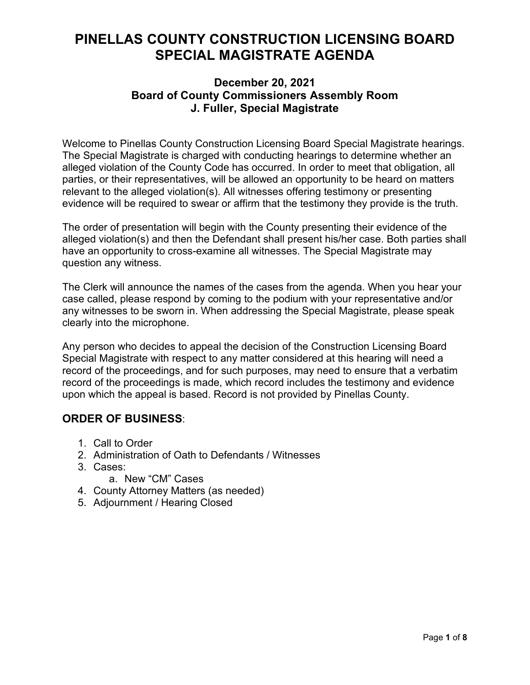# **PINELLAS COUNTY CONSTRUCTION LICENSING BOARD SPECIAL MAGISTRATE AGENDA**

### **December 20, 2021 Board of County Commissioners Assembly Room J. Fuller, Special Magistrate**

Welcome to Pinellas County Construction Licensing Board Special Magistrate hearings. The Special Magistrate is charged with conducting hearings to determine whether an alleged violation of the County Code has occurred. In order to meet that obligation, all parties, or their representatives, will be allowed an opportunity to be heard on matters relevant to the alleged violation(s). All witnesses offering testimony or presenting evidence will be required to swear or affirm that the testimony they provide is the truth.

The order of presentation will begin with the County presenting their evidence of the alleged violation(s) and then the Defendant shall present his/her case. Both parties shall have an opportunity to cross-examine all witnesses. The Special Magistrate may question any witness.

The Clerk will announce the names of the cases from the agenda. When you hear your case called, please respond by coming to the podium with your representative and/or any witnesses to be sworn in. When addressing the Special Magistrate, please speak clearly into the microphone.

Any person who decides to appeal the decision of the Construction Licensing Board Special Magistrate with respect to any matter considered at this hearing will need a record of the proceedings, and for such purposes, may need to ensure that a verbatim record of the proceedings is made, which record includes the testimony and evidence upon which the appeal is based. Record is not provided by Pinellas County.

## **ORDER OF BUSINESS**:

- 1. Call to Order
- 2. Administration of Oath to Defendants / Witnesses
- 3. Cases:
	- a. New "CM" Cases
- 4. County Attorney Matters (as needed)
- 5. Adjournment / Hearing Closed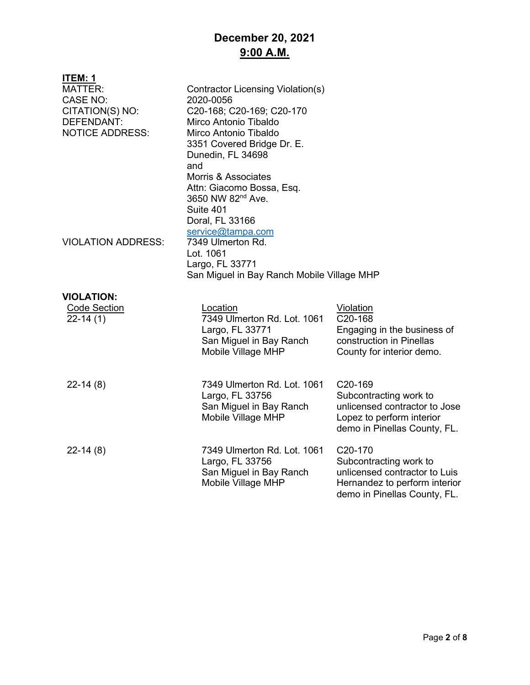# **December 20, 2021 9:00 A.M.**

| <u>ITEM: 1</u><br><b>MATTER:</b><br><b>CASE NO:</b><br>CITATION(S) NO:<br>DEFENDANT:<br><b>NOTICE ADDRESS:</b> | Contractor Licensing Violation(s)<br>2020-0056<br>C20-168; C20-169; C20-170<br>Mirco Antonio Tibaldo<br>Mirco Antonio Tibaldo<br>3351 Covered Bridge Dr. E.<br>Dunedin, FL 34698<br>and<br><b>Morris &amp; Associates</b><br>Attn: Giacomo Bossa, Esq.<br>3650 NW 82 <sup>nd</sup> Ave.<br>Suite 401<br>Doral, FL 33166 |                                                                                                                                                  |
|----------------------------------------------------------------------------------------------------------------|-------------------------------------------------------------------------------------------------------------------------------------------------------------------------------------------------------------------------------------------------------------------------------------------------------------------------|--------------------------------------------------------------------------------------------------------------------------------------------------|
| <b>VIOLATION ADDRESS:</b>                                                                                      | service@tampa.com<br>7349 Ulmerton Rd.<br>Lot. 1061<br>Largo, FL 33771<br>San Miguel in Bay Ranch Mobile Village MHP                                                                                                                                                                                                    |                                                                                                                                                  |
| <b>VIOLATION:</b><br><b>Code Section</b><br>$22-14(1)$                                                         | Location<br>7349 Ulmerton Rd. Lot. 1061<br>Largo, FL 33771<br>San Miguel in Bay Ranch<br>Mobile Village MHP                                                                                                                                                                                                             | Violation<br>C20-168<br>Engaging in the business of<br>construction in Pinellas<br>County for interior demo.                                     |
| $22-14(8)$                                                                                                     | 7349 Ulmerton Rd. Lot. 1061<br>Largo, FL 33756<br>San Miguel in Bay Ranch<br>Mobile Village MHP                                                                                                                                                                                                                         | C20-169<br>Subcontracting work to<br>unlicensed contractor to Jose<br>Lopez to perform interior<br>demo in Pinellas County, FL.                  |
| $22-14(8)$                                                                                                     | 7349 Ulmerton Rd. Lot. 1061<br>Largo, FL 33756<br>San Miguel in Bay Ranch<br>Mobile Village MHP                                                                                                                                                                                                                         | C <sub>20</sub> -170<br>Subcontracting work to<br>unlicensed contractor to Luis<br>Hernandez to perform interior<br>demo in Pinellas County, FL. |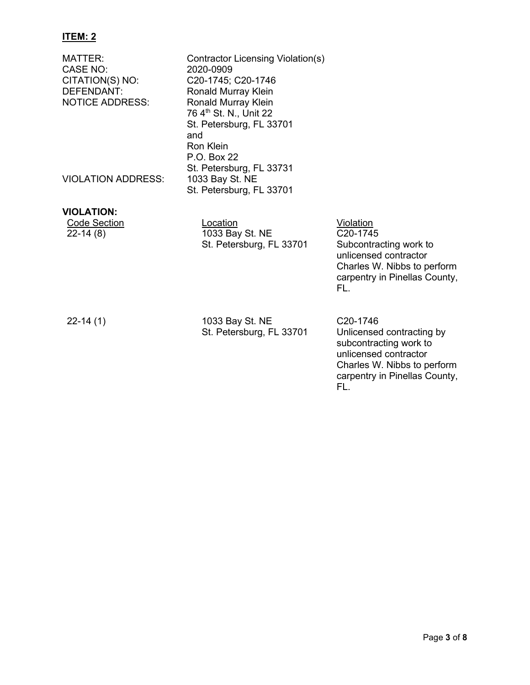### **ITEM: 2**

| MATTER:<br><b>CASE NO:</b><br>CITATION(S) NO:<br>DEFENDANT:<br><b>NOTICE ADDRESS:</b> | Contractor Licensing Violation(s)<br>2020-0909<br>C20-1745; C20-1746<br>Ronald Murray Klein<br>Ronald Murray Klein<br>76 4 <sup>th</sup> St. N., Unit 22<br>St. Petersburg, FL 33701<br>and<br><b>Ron Klein</b><br>P.O. Box 22 |                                                                                                                                                 |
|---------------------------------------------------------------------------------------|--------------------------------------------------------------------------------------------------------------------------------------------------------------------------------------------------------------------------------|-------------------------------------------------------------------------------------------------------------------------------------------------|
| <b>VIOLATION ADDRESS:</b>                                                             | St. Petersburg, FL 33731<br>1033 Bay St. NE<br>St. Petersburg, FL 33701                                                                                                                                                        |                                                                                                                                                 |
| <b>VIOLATION:</b><br><b>Code Section</b><br>$22-14(8)$                                | Location<br>1033 Bay St. NE<br>St. Petersburg, FL 33701                                                                                                                                                                        | Violation<br>C20-1745<br>Subcontracting work to<br>unlicensed contractor<br>Charles W. Nibbs to perform<br>carpentry in Pinellas County,<br>FL. |
| $22-14(1)$                                                                            | 1033 Bay St. NE<br>St. Petersburg, FL 33701                                                                                                                                                                                    | C <sub>20</sub> -1746<br>Unlicensed contracting by<br>subcontracting work to<br>unlicensed contractor<br>Charles W. Nibbs to perform            |

carpentry in Pinellas County,

FL.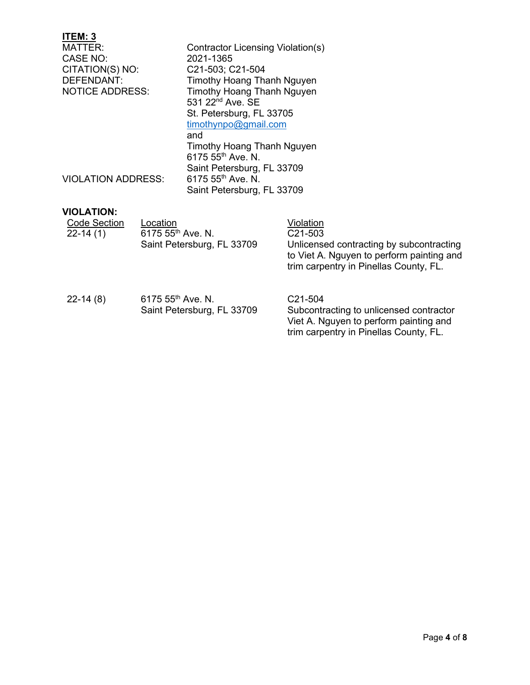#### **ITEM: 3** Contractor Licensing Violation(s)<br>2021-1365 CASE NO: 2021-1365<br>CITATION(S) NO: C21-503; C21-504 CITATION(S) NO: DEFENDANT: Timothy Hoang Thanh Nguyen<br>
NOTICE ADDRESS: Timothy Hoang Thanh Nguyen Timothy Hoang Thanh Nguyen 531 22<sup>nd</sup> Ave. SE St. Petersburg, FL 33705 [timothynpo@gmail.com](mailto:timothynpo@gmail.com) and Timothy Hoang Thanh Nguyen 6175 55th Ave. N. Saint Petersburg, FL 33709<br>6175 55<sup>th</sup> Ave. N. VIOLATION ADDRESS: Saint Petersburg, FL 33709

### **VIOLATION:**

| <b>Code Section</b><br>$22-14(1)$ | Location<br>6175 55 <sup>th</sup> Ave. N.<br>Saint Petersburg, FL 33709 | Violation<br>C <sub>21</sub> -503<br>Unlicensed contracting by subcontracting<br>to Viet A. Nguyen to perform painting and<br>trim carpentry in Pinellas County, FL. |
|-----------------------------------|-------------------------------------------------------------------------|----------------------------------------------------------------------------------------------------------------------------------------------------------------------|
| $22-14(8)$                        | 6175 55 <sup>th</sup> Ave. N.<br>Saint Petersburg, FL 33709             | C <sub>21</sub> -504<br>Subcontracting to unlicensed contractor<br>Viet A. Nguyen to perform painting and<br>trim carpentry in Pinellas County, FL.                  |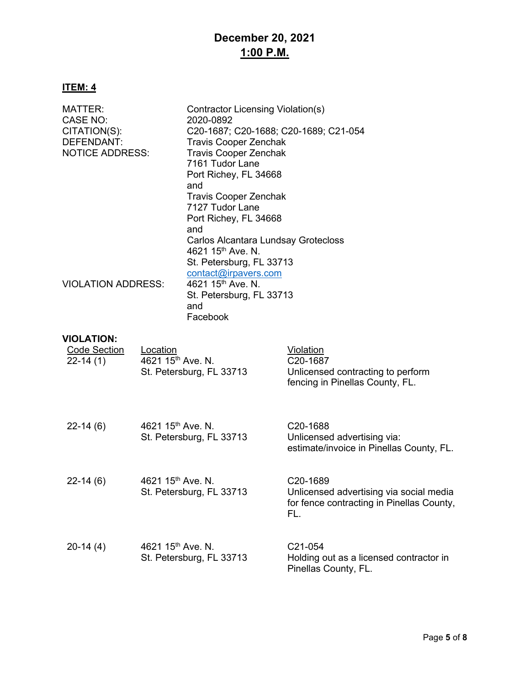## **December 20, 2021 1:00 P.M.**

### **ITEM: 4**

| MATTER:<br>CASE NO:<br>CITATION(S):<br>DEFENDANT:<br><b>NOTICE ADDRESS:</b> | Contractor Licensing Violation(s)<br>2020-0892<br>C20-1687; C20-1688; C20-1689; C21-054<br><b>Travis Cooper Zenchak</b><br><b>Travis Cooper Zenchak</b><br>7161 Tudor Lane<br>Port Richey, FL 34668<br>and<br><b>Travis Cooper Zenchak</b><br>7127 Tudor Lane<br>Port Richey, FL 34668<br>and |  |
|-----------------------------------------------------------------------------|-----------------------------------------------------------------------------------------------------------------------------------------------------------------------------------------------------------------------------------------------------------------------------------------------|--|
| <b>VIOLATION ADDRESS:</b>                                                   | Carlos Alcantara Lundsay Grotecloss<br>4621 15 <sup>th</sup> Ave. N.<br>St. Petersburg, FL 33713<br>contact@irpavers.com<br>4621 15 <sup>th</sup> Ave. N.<br>St. Petersburg, FL 33713<br>and<br>Facebook                                                                                      |  |

#### **VIOLATION:**

| <b>Code Section</b><br>$22 - 14(1)$ | Location<br>4621 15 <sup>th</sup> Ave. N.<br>St. Petersburg, FL 33713 | Violation<br>C20-1687<br>Unlicensed contracting to perform<br>fencing in Pinellas County, FL.                        |
|-------------------------------------|-----------------------------------------------------------------------|----------------------------------------------------------------------------------------------------------------------|
| $22 - 14(6)$                        | 4621 15 <sup>th</sup> Ave. N.<br>St. Petersburg, FL 33713             | C <sub>20</sub> -1688<br>Unlicensed advertising via:<br>estimate/invoice in Pinellas County, FL.                     |
| $22 - 14(6)$                        | 4621 $15^{th}$ Ave. N.<br>St. Petersburg, FL 33713                    | C <sub>20</sub> -1689<br>Unlicensed advertising via social media<br>for fence contracting in Pinellas County,<br>FL. |
| $20-14(4)$                          | 4621 $15^{th}$ Ave. N.<br>St. Petersburg, FL 33713                    | C <sub>21</sub> -054<br>Holding out as a licensed contractor in<br>Pinellas County, FL.                              |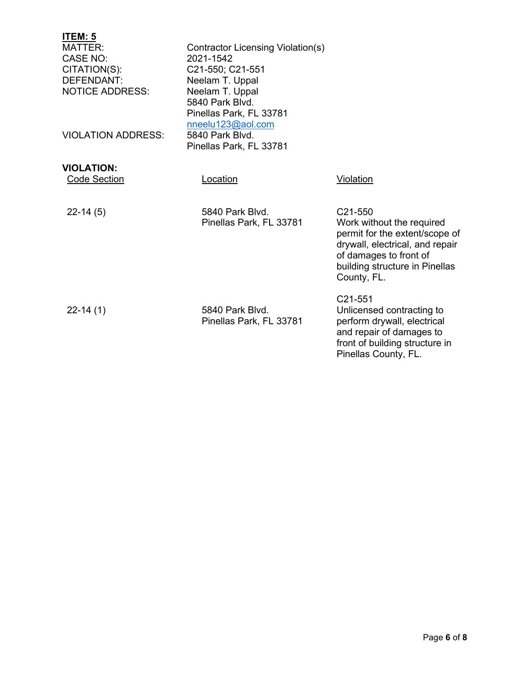| <u>ITEM: 5</u><br><b>MATTER:</b><br>CASE NO:<br>CITATION(S):<br><b>DEFENDANT:</b><br><b>NOTICE ADDRESS:</b><br><b>VIOLATION ADDRESS:</b> | Contractor Licensing Violation(s)<br>2021-1542<br>C21-550; C21-551<br>Neelam T. Uppal<br>Neelam T. Uppal<br>5840 Park Blvd.<br>Pinellas Park, FL 33781<br>nneelu123@aol.com<br>5840 Park Blvd.<br>Pinellas Park, FL 33781 |                                                                                                                                                                                      |
|------------------------------------------------------------------------------------------------------------------------------------------|---------------------------------------------------------------------------------------------------------------------------------------------------------------------------------------------------------------------------|--------------------------------------------------------------------------------------------------------------------------------------------------------------------------------------|
| <b>VIOLATION:</b><br><b>Code Section</b>                                                                                                 | Location                                                                                                                                                                                                                  | Violation                                                                                                                                                                            |
| $22-14(5)$                                                                                                                               | 5840 Park Blvd.<br>Pinellas Park, FL 33781                                                                                                                                                                                | C21-550<br>Work without the required<br>permit for the extent/scope of<br>drywall, electrical, and repair<br>of damages to front of<br>building structure in Pinellas<br>County, FL. |
| $22 - 14(1)$                                                                                                                             | 5840 Park Blvd.<br>Pinellas Park, FL 33781                                                                                                                                                                                | C <sub>21</sub> -551<br>Unlicensed contracting to<br>perform drywall, electrical<br>and repair of damages to<br>front of building structure in                                       |

Pinellas County, FL.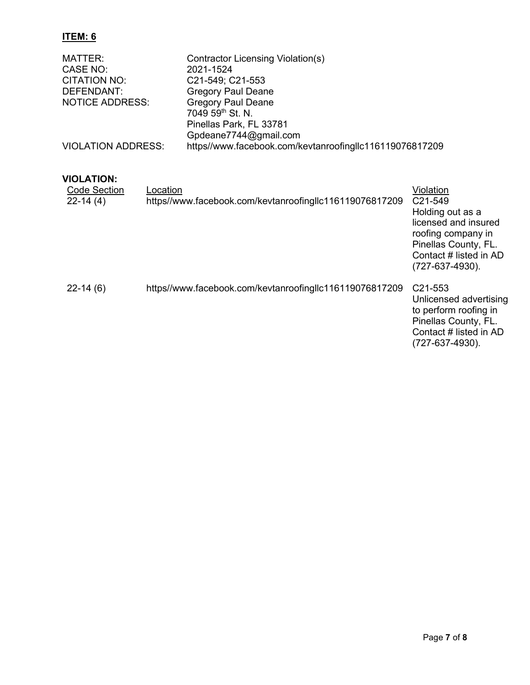### **ITEM: 6**

| MATTER:                   | Contractor Licensing Violation(s)                       |
|---------------------------|---------------------------------------------------------|
| CASE NO:                  | 2021-1524                                               |
| CITATION NO:              | C21-549; C21-553                                        |
| DEFENDANT:                | <b>Gregory Paul Deane</b>                               |
| <b>NOTICE ADDRESS:</b>    | <b>Gregory Paul Deane</b>                               |
|                           | 7049 59 <sup>th</sup> St. N.                            |
|                           | Pinellas Park, FL 33781                                 |
|                           | Gpdeane7744@gmail.com                                   |
| <b>VIOLATION ADDRESS:</b> | https//www.facebook.com/kevtanroofingllc116119076817209 |

### **VIOLATION:**

| <b>Code Section</b><br>$22-14(4)$ | Location<br>https//www.facebook.com/kevtanroofingllc116119076817209 | Violation<br>C <sub>21</sub> -549<br>Holding out as a<br>licensed and insured<br>roofing company in<br>Pinellas County, FL.<br>Contact # listed in AD<br>$(727-637-4930)$ . |
|-----------------------------------|---------------------------------------------------------------------|-----------------------------------------------------------------------------------------------------------------------------------------------------------------------------|
| $22-14(6)$                        | https//www.facebook.com/kevtanroofinglic116119076817209             | C <sub>21</sub> -553<br>Unlicensed advertising<br>to perform roofing in<br>Pinellas County, FL.<br>Contact # listed in AD<br>$(727-637-4930)$ .                             |